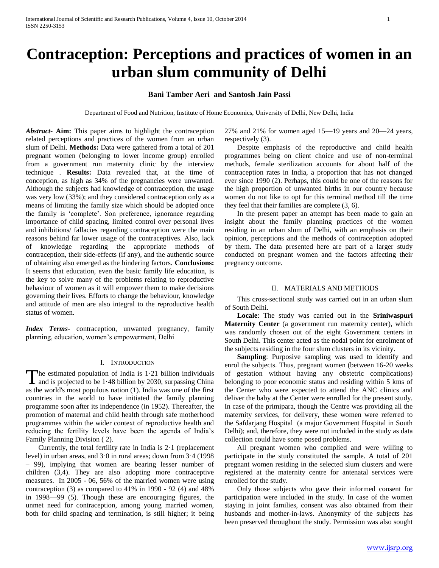# **Contraception: Perceptions and practices of women in an urban slum community of Delhi**

# **Bani Tamber Aeri and Santosh Jain Passi**

Department of Food and Nutrition, Institute of Home Economics, University of Delhi, New Delhi, India

*Abstract***- Aim:** This paper aims to highlight the contraception related perceptions and practices of the women from an urban slum of Delhi. **Methods:** Data were gathered from a total of 201 pregnant women (belonging to lower income group) enrolled from a government run maternity clinic by the interview technique . **Results:** Data revealed that, at the time of conception, as high as 34% of the pregnancies were unwanted. Although the subjects had knowledge of contraception, the usage was very low (33%); and they considered contraception only as a means of limiting the family size which should be adopted once the family is 'complete'. Son preference, ignorance regarding importance of child spacing, limited control over personal lives and inhibitions/ fallacies regarding contraception were the main reasons behind far lower usage of the contraceptives. Also, lack of knowledge regarding the appropriate methods of contraception, their side-effects (if any), and the authentic source of obtaining also emerged as the hindering factors. **Conclusions:** It seems that education, even the basic family life education, is the key to solve many of the problems relating to reproductive behaviour of women as it will empower them to make decisions governing their lives. Efforts to change the behaviour, knowledge and attitude of men are also integral to the reproductive health status of women.

*Index Terms*- contraception, unwanted pregnancy, family planning, education, women's empowerment, Delhi

## I. INTRODUCTION

he estimated population of India is 1·21 billion individuals The estimated population of India is 1.21 billion individuals<br>and is projected to be 1.48 billion by 2030, surpassing China as the world's most populous nation (1). India was one of the first countries in the world to have initiated the family planning programme soon after its independence (in 1952). Thereafter, the promotion of maternal and child health through safe motherhood programmes within the wider context of reproductive health and reducing the fertility levels have been the agenda of India's Family Planning Division ( 2).

Currently, the total fertility rate in India is  $2·1$  (replacement level) in urban areas, and 3·0 in rural areas; down from 3·4 (1998 – 99), implying that women are bearing lesser number of children (3,4). They are also adopting more contraceptive measures. In 2005 - 06, 56% of the married women were using contraception (3) as compared to 41% in 1990 - 92 (4) and 48% in 1998—99 (5). Though these are encouraging figures, the unmet need for contraception, among young married women, both for child spacing and termination, is still higher; it being 27% and 21% for women aged 15—19 years and 20—24 years, respectively (3).

 Despite emphasis of the reproductive and child health programmes being on client choice and use of non-terminal methods, female sterilization accounts for about half of the contraception rates in India, a proportion that has not changed ever since 1990 (2). Perhaps, this could be one of the reasons for the high proportion of unwanted births in our country because women do not like to opt for this terminal method till the time they feel that their families are complete (3, 6).

 In the present paper an attempt has been made to gain an insight about the family planning practices of the women residing in an urban slum of Delhi, with an emphasis on their opinion, perceptions and the methods of contraception adopted by them. The data presented here are part of a larger study conducted on pregnant women and the factors affecting their pregnancy outcome.

#### II. MATERIALS AND METHODS

 This cross-sectional study was carried out in an urban slum of South Delhi.

 **Locale**: The study was carried out in the **Sriniwaspuri Maternity Center** (a government run maternity center), which was randomly chosen out of the eight Government centers in South Delhi. This center acted as the nodal point for enrolment of the subjects residing in the four slum clusters in its vicinity.

 **Sampling**: Purposive sampling was used to identify and enrol the subjects. Thus, pregnant women (between 16-20 weeks of gestation without having any obstetric complications) belonging to poor economic status and residing within 5 kms of the Center who were expected to attend the ANC clinics and deliver the baby at the Center were enrolled for the present study. In case of the primipara, though the Centre was providing all the maternity services, for delivery, these women were referred to the Safdarjang Hospital (a major Government Hospital in South Delhi); and, therefore, they were not included in the study as data collection could have some posed problems.

 All pregnant women who complied and were willing to participate in the study constituted the sample. A total of 201 pregnant women residing in the selected slum clusters and were registered at the maternity centre for antenatal services were enrolled for the study.

 Only those subjects who gave their informed consent for participation were included in the study. In case of the women staying in joint families, consent was also obtained from their husbands and mother-in-laws. Anonymity of the subjects has been preserved throughout the study. Permission was also sought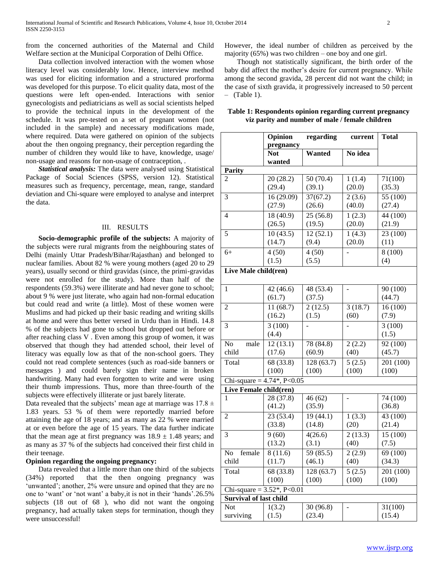from the concerned authorities of the Maternal and Child Welfare section at the Municipal Corporation of Delhi Office.

 Data collection involved interaction with the women whose literacy level was considerably low. Hence, interview method was used for eliciting information and a structured prorforma was developed for this purpose. To elicit quality data, most of the questions were left open-ended. Interactions with senior gynecologists and pediatricians as well as social scientists helped to provide the technical inputs in the development of the schedule. It was pre-tested on a set of pregnant women (not included in the sample) and necessary modifications made, where required. Data were gathered on opinion of the subjects about the then ongoing pregnancy, their perception regarding the number of children they would like to have, knowledge, usage/ non-usage and reasons for non-usage of contraception, .

 *Statistical analysis:* The data were analysed using Statistical Package of Social Sciences (SPSS, version 12). Statistical measures such as frequency, percentage, mean, range, standard deviation and Chi-square were employed to analyse and interpret the data.

## III. RESULTS

 **Socio-demographic profile of the subjects:** A majority of the subjects were rural migrants from the neighbouring states of Delhi (mainly Uttar Pradesh/Bihar/Rajasthan) and belonged to nuclear families. About 82 % were young mothers (aged 20 to 29 years), usually second or third gravidas (since, the primi-gravidas were not enrolled for the study). More than half of the respondents (59.3%) were illiterate and had never gone to school; about 9 % were just literate, who again had non-formal education but could read and write (a little). Most of these women were Muslims and had picked up their basic reading and writing skills at home and were thus better versed in Urdu than in Hindi. 14.8 % of the subjects had gone to school but dropped out before or after reaching class V . Even among this group of women, it was observed that though they had attended school, their level of literacy was equally low as that of the non-school goers. They could not read complete sentences (such as road-side banners or messages ) and could barely sign their name in broken handwriting. Many had even forgotten to write and were using their thumb impressions. Thus, more than three-fourth of the subjects were effectively illiterate or just barely literate.

Data revealed that the subjects' mean age at marriage was  $17.8 \pm 10^{-10}$ 1.83 years. 53 % of them were reportedly married before attaining the age of 18 years; and as many as 22 % were married at or even before the age of 15 years. The data further indicate that the mean age at first pregnancy was  $18.9 \pm 1.48$  years; and as many as 37 % of the subjects had conceived their first child in their teenage.

### **Opinion regarding the ongoing pregnancy:**

 Data revealed that a little more than one third of the subjects (34%) reported that the then ongoing pregnancy was 'unwanted'; another, 2% were unsure and opined that they are no one to 'want' or 'not want' a baby, it is not in their 'hands'.26.5% subjects (18 out of 68 ), who did not want the ongoing pregnancy, had actually taken steps for termination, though they were unsuccessful!

However, the ideal number of children as perceived by the majority (65%) was two children – one boy and one girl.

 Though not statistically significant, the birth order of the baby did affect the mother's desire for current pregnancy. While among the second gravida, 28 percent did not want the child; in the case of sixth gravida, it progressively increased to 50 percent  $-$  (Table 1).

|                                                                 | Opinion    | regarding  | current              | <b>Total</b>           |
|-----------------------------------------------------------------|------------|------------|----------------------|------------------------|
|                                                                 | pregnancy  |            |                      |                        |
|                                                                 | <b>Not</b> | Wanted     | No idea              |                        |
|                                                                 | wanted     |            |                      |                        |
| <b>Parity</b>                                                   |            |            |                      |                        |
| 2                                                               | 20(28.2)   | 50 (70.4)  | 1(1.4)               | 71(100)                |
|                                                                 | (29.4)     | (39.1)     | (20.0)               | (35.3)                 |
| 3                                                               | 16 (29.09) | 37(67.2)   | 2(3.6)               | 55 (100)               |
|                                                                 | (27.9)     | (26.6)     | (40.0)               | (27.4)                 |
| 4                                                               | 18 (40.9)  | 25(56.8)   | 1(2.3)               | 44 (100)               |
|                                                                 | (26.5)     | (19.5)     | (20.0)               | (21.9)                 |
| 5                                                               | 10(43.5)   | 12(52.1)   | 1(4.3)               | 23 (100)               |
|                                                                 | (14.7)     | (9.4)      | (20.0)               | (11)                   |
| $6+$                                                            | 4(50)      | 4(50)      |                      | 8 (100)                |
|                                                                 | (1.5)      | (5.5)      |                      | (4)                    |
| Live Male child(ren)                                            |            |            |                      |                        |
|                                                                 |            |            |                      |                        |
| $\mathbf{1}$                                                    | 42(46.6)   | 48 (53.4)  |                      | 90 (100)               |
|                                                                 | (61.7)     | (37.5)     |                      | (44.7)                 |
| $\overline{2}$                                                  | 11(68.7)   | 2(12.5)    | 3(18.7)              | 16(100)                |
|                                                                 | (16.2)     | (1.5)      | (60)                 | (7.9)                  |
| 3                                                               | 3(100)     |            |                      | 3(100)                 |
|                                                                 | (4.4)      |            |                      | (1.5)                  |
| male<br>No                                                      | 12(13.1)   | 78 (84.8)  | $\overline{2}$ (2.2) | 92(100)                |
| child                                                           | (17.6)     | (60.9)     | (40)                 | (45.7)                 |
| Total                                                           | 68 (33.8)  | 128 (63.7) | 5(2.5)               | 201 (100)              |
|                                                                 | (100)      | (100)      | (100)                | (100)                  |
| Chi-square = $4.74$ <sup>*</sup> , P<0.05                       |            |            |                      |                        |
| Live Female child(ren)                                          |            |            |                      |                        |
| 1                                                               | 28 (37.8)  | 46(62)     |                      | 74(100)                |
|                                                                 | (41.2)     | (35.9)     |                      | (36.8)                 |
| 2                                                               | 23 (53.4)  | 19 (44.1)  | 1(3.3)               | 43 (100)               |
|                                                                 | (33.8)     | (14.8)     | (20)                 | (21.4)                 |
| 3                                                               | 9(60)      | 4(26.6)    | 2(13.3)              | 15(100)                |
|                                                                 | (13.2)     | (3.1)      | (40)                 | (7.5)                  |
| No female                                                       | 8(11.6)    | 59(85.5)   | 2(2.9)               | 69 (100)               |
| child                                                           | (11.7)     | (46.1)     | (40)                 | (34.3)                 |
| Total                                                           | 68 (33.8)  | 128 (63.7) | 5(2.5)               | $\overline{201}$ (100) |
|                                                                 | (100)      | (100)      | (100)                | (100)                  |
|                                                                 |            |            |                      |                        |
| Chi-square = $3.52^*$ , P<0.01<br><b>Survival of last child</b> |            |            |                      |                        |
| Not                                                             | 1(3.2)     | 30 (96.8)  |                      | 31(100)                |
| surviving                                                       | (1.5)      | (23.4)     |                      | (15.4)                 |

# **Table 1: Respondents opinion regarding current pregnancy viz parity and number of male / female children**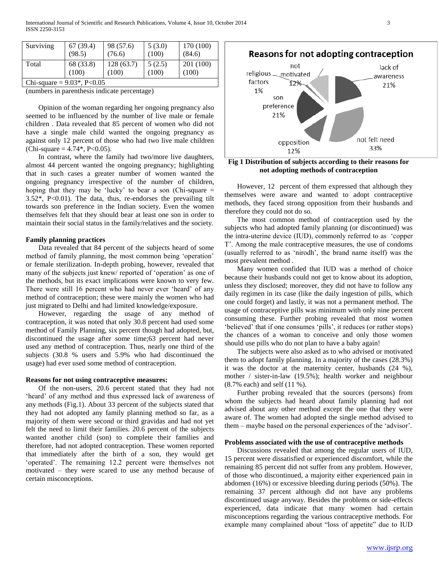| Surviving                      | 67 (39.4)          | 98 (57.6)          | 5(3.0)          | 170 (100)          |  |
|--------------------------------|--------------------|--------------------|-----------------|--------------------|--|
|                                | (98.5)             | (76.6)             | (100)           | (84.6)             |  |
| Total                          | 68 (33.8)<br>(100) | 128(63.7)<br>(100) | 5(2.5)<br>(100) | 201 (100)<br>(100) |  |
| Chi-square = $9.03^*$ , P<0.05 |                    |                    |                 |                    |  |

(numbers in parenthesis indicate percentage)

 Opinion of the woman regarding her ongoing pregnancy also seemed to be influenced by the number of live male or female children . Data revealed that 85 percent of women who did not have a single male child wanted the ongoing pregnancy as against only 12 percent of those who had two live male children  $(Chi-square = 4.74*, P<0.05).$ 

 In contrast, where the family had two/more live daughters, almost 44 percent wanted the ongoing pregnancy; highlighting that in such cases a greater number of women wanted the ongoing pregnancy irrespective of the number of children, hoping that they may be 'lucky' to bear a son (Chi-square  $=$  $3.52^*$ , P<0.01). The data, thus, re-endorses the prevailing tilt towards son preference in the Indian society. Even the women themselves felt that they should bear at least one son in order to maintain their social status in the family/relatives and the society.

### **Family planning practices**

 Data revealed that 84 percent of the subjects heard of some method of family planning, the most common being 'operation' or female sterilization. In-depth probing, however, revealed that many of the subjects just knew/ reported of 'operation' as one of the methods, but its exact implications were known to very few. There were still 16 percent who had never ever 'heard' of any method of contraception; these were mainly the women who had just migrated to Delhi and had limited knowledge/exposure.

 However, regarding the usage of any method of contraception, it was noted that only 30.8 percent had used some method of Family Planning, six percent though had adopted, but, discontinued the usage after some time;63 percent had never used any method of contraception. Thus, nearly one third of the subjects (30.8 % users and 5.9% who had discontinued the usage) had ever used some method of contraception.

### **Reasons for not using contraceptive measures:**

 Of the non-users, 20.6 percent stated that they had not 'heard' of any method and thus expressed lack of awareness of any methods (Fig.1). About 33 percent of the subjects stated that they had not adopted any family planning method so far, as a majority of them were second or third gravidas and had not yet felt the need to limit their families. 20.6 percent of the subjects wanted another child (son) to complete their families and therefore, had not adopted contraception. These women reported that immediately after the birth of a son, they would get 'operated'. The remaining 12.2 percent were themselves not motivated – they were scared to use any method because of certain misconceptions.



**Fig 1 Distribution of subjects according to their reasons for not adopting methods of contraception**

 However, 12 percent of them expressed that although they themselves were aware and wanted to adopt contraceptive methods, they faced strong opposition from their husbands and therefore they could not do so.

 The most common method of contraception used by the subjects who had adopted family planning (or discontinued) was the intra-uterine device (IUD), commonly referred to as 'copper T'. Among the male contraceptive measures, the use of condoms (usually referred to as ‗nirodh', the brand name itself) was the most prevalent method .

 Many women confided that IUD was a method of choice because their husbands could not get to know about its adoption, unless they disclosed; moreover, they did not have to follow any daily regimen in its case (like the daily ingestion of pills, which one could forget) and lastly, it was not a permanent method. The usage of contraceptive pills was minimum with only nine percent consuming these. Further probing revealed that most women 'believed' that if one consumes 'pills', it reduces (or rather stops) the chances of a woman to conceive and only those women should use pills who do not plan to have a baby again!

 The subjects were also asked as to who advised or motivated them to adopt family planning. In a majority of the cases (28.3%) it was the doctor at the maternity center, husbands (24 %), mother / sister-in-law (19.5%); health worker and neighbour (8.7% each) and self (11 %).

 Further probing revealed that the sources (persons) from whom the subjects had heard about family planning had not advised about any other method except the one that they were aware of. The women had adopted the single method advised to them – maybe based on the personal experiences of the 'advisor'.

### **Problems associated with the use of contraceptive methods**

 Discussions revealed that among the regular users of IUD, 15 percent were dissatisfied or experienced discomfort, while the remaining 85 percent did not suffer from any problem. However, of those who discontinued, a majority either experienced pain in abdomen (16%) or excessive bleeding during periods (50%). The remaining 37 percent although did not have any problems discontinued usage anyway. Besides the problems or side-effects experienced, data indicate that many women had certain misconceptions regarding the various contraceptive methods. For example many complained about "loss of appetite" due to IUD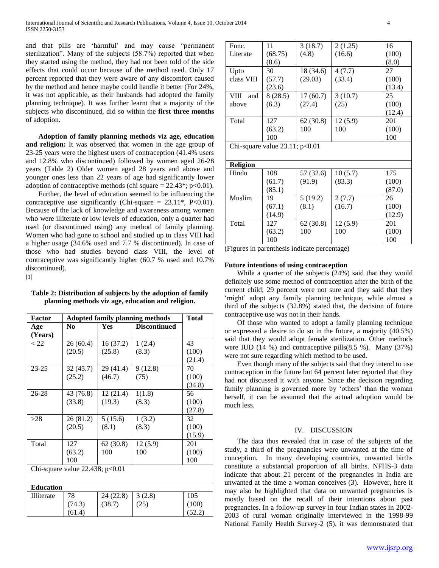and that pills are 'harmful' and may cause "permanent sterilization". Many of the subjects (58.7%) reported that when they started using the method, they had not been told of the side effects that could occur because of the method used. Only 17 percent reported that they were aware of any discomfort caused by the method and hence maybe could handle it better (For 24%, it was not applicable, as their husbands had adopted the family planning technique). It was further learnt that a majority of the subjects who discontinued, did so within the **first three months** of adoption.

 **Adoption of family planning methods viz age, education and religion:** It was observed that women in the age group of 23-25 years were the highest users of contraception (41.4% users and 12.8% who discontinued) followed by women aged 26-28 years (Table 2) Older women aged 28 years and above and younger ones less than 22 years of age had significantly lower adoption of contraceptive methods (chi square  $= 22.43$ <sup>\*</sup>; p<0.01).

 Further, the level of education seemed to be influencing the contraceptive use significantly (Chi-square =  $23.11^*$ , P<0.01). Because of the lack of knowledge and awareness among women who were illiterate or low levels of education, only a quarter had used (or discontinued using) any method of family planning. Women who had gone to school and studied up to class VIII had a higher usage (34.6% used and 7.7 % discontinued). In case of those who had studies beyond class VIII, the level of contraceptive was significantly higher (60.7 % used and 10.7% discontinued).

 $[1]$ 

**Table 2: Distribution of subjects by the adoption of family planning methods viz age, education and religion.**

| Factor                            | <b>Adopted family planning methods</b> |           |                     | <b>Total</b> |
|-----------------------------------|----------------------------------------|-----------|---------------------|--------------|
| Age                               | N <sub>0</sub>                         | Yes       | <b>Discontinued</b> |              |
| (Years)                           |                                        |           |                     |              |
| < 22                              | 26 (60.4)                              | 16 (37.2) | 1(2.4)              | 43           |
|                                   | (20.5)                                 | (25.8)    | (8.3)               | (100)        |
|                                   |                                        |           |                     | (21.4)       |
| $23 - 25$                         | 32 (45.7)                              | 29 (41.4) | 9(12.8)             | 70           |
|                                   | (25.2)                                 | (46.7)    | (75)                | (100)        |
|                                   |                                        |           |                     | (34.8)       |
| 26-28                             | 43 (76.8)                              | 12(21.4)  | 1(1.8)              | 56           |
|                                   | (33.8)                                 | (19.3)    | (8.3)               | (100)        |
|                                   |                                        |           |                     | (27.8)       |
| >28                               | 26(81.2)                               | 5(15.6)   | 1(3.2)              | 32           |
|                                   | (20.5)                                 | (8.1)     | (8.3)               | (100)        |
|                                   |                                        |           |                     | (15.9)       |
| Total                             | 127                                    | 62(30.8)  | 12(5.9)             | 201          |
|                                   | (63.2)                                 | 100       | 100                 | (100)        |
|                                   | 100                                    |           |                     | 100          |
| Chi-square value 22.438; $p<0.01$ |                                        |           |                     |              |
|                                   |                                        |           |                     |              |
| <b>Education</b>                  |                                        |           |                     |              |
| Illiterate                        | 78                                     | 24 (22.8) | 3(2.8)              | 105          |

(38.7)

(25)

(100) (52.2)

(74.3) (61.4)

| Func.                               | 11      | 3(18.7)   | 2(1.25) | 16     |
|-------------------------------------|---------|-----------|---------|--------|
| Literate                            | (68.75) | (4.8)     | (16.6)  | (100)  |
|                                     | (8.6)   |           |         | (8.0)  |
| Upto                                | 30      | 18 (34.6) | 4(7.7)  | 27     |
| class VIII                          | (57.7)  | (29.03)   | (33.4)  | (100)  |
|                                     | (23.6)  |           |         | (13.4) |
| VIII<br>and                         | 8(28.5) | 17(60.7)  | 3(10.7) | 25     |
| above                               | (6.3)   | (27.4)    | (25)    | (100)  |
|                                     |         |           |         | (12.4) |
| Total                               | 127     | 62(30.8)  | 12(5.9) | 201    |
|                                     | (63.2)  | 100       | 100     | (100)  |
|                                     | 100     |           |         | 100    |
| Chi-square value $23.11$ ; $p<0.01$ |         |           |         |        |

| <b>Religion</b> |        |           |         |        |
|-----------------|--------|-----------|---------|--------|
| Hindu           | 108    | 57 (32.6) | 10(5.7) | 175    |
|                 | (61.7) | (91.9)    | (83.3)  | (100)  |
|                 | (85.1) |           |         | (87.0) |
| <b>Muslim</b>   | 19     | 5(19.2)   | 2(7.7)  | 26     |
|                 | (67.1) | (8.1)     | (16.7)  | (100)  |
|                 | (14.9) |           |         | (12.9) |
| Total           | 127    | 62(30.8)  | 12(5.9) | 201    |
|                 | (63.2) | 100       | 100     | (100)  |
|                 | 100    |           |         | 100    |

(Figures in parenthesis indicate percentage)

## **Future intentions of using contraception**

 While a quarter of the subjects (24%) said that they would definitely use some method of contraception after the birth of the current child; 29 percent were not sure and they said that they 'might' adopt any family planning technique, while almost a third of the subjects (32.8%) stated that, the decision of future contraceptive use was not in their hands.

 Of those who wanted to adopt a family planning technique or expressed a desire to do so in the future, a majority (40.5%) said that they would adopt female sterilization. Other methods were IUD  $(14 \%)$  and contraceptive pills $(8.5 \%)$ . Many  $(37\%)$ were not sure regarding which method to be used.

 Even though many of the subjects said that they intend to use contraception in the future but 64 percent later reported that they had not discussed it with anyone. Since the decision regarding family planning is governed more by 'others' than the woman herself, it can be assumed that the actual adoption would be much less.

## IV. DISCUSSION

 The data thus revealed that in case of the subjects of the study, a third of the pregnancies were unwanted at the time of conception. In many developing countries, unwanted births constitute a substantial proportion of all births. NFHS-3 data indicate that about 21 percent of the pregnancies in India are unwanted at the time a woman conceives (3). However, here it may also be highlighted that data on unwanted pregnancies is mostly based on the recall of their intentions about past pregnancies. In a follow-up survey in four Indian states in 2002- 2003 of rural woman originally interviewed in the 1998-99 National Family Health Survey-2 (5), it was demonstrated that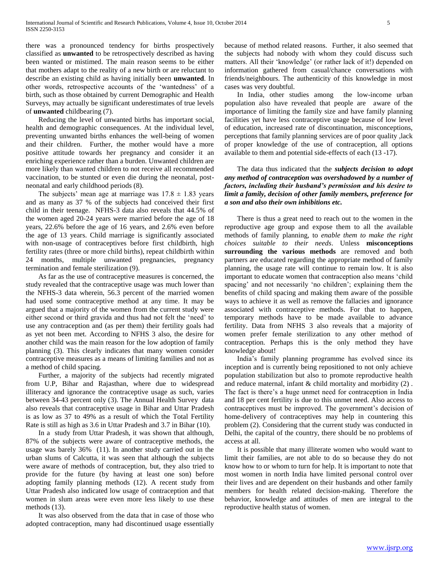there was a pronounced tendency for births prospectively classified as **unwanted** to be retrospectively described as having been wanted or mistimed. The main reason seems to be either that mothers adapt to the reality of a new birth or are reluctant to describe an existing child as having initially been **unwanted**. In other words, retrospective accounts of the 'wantedness' of a birth, such as those obtained by current Demographic and Health Surveys, may actually be significant underestimates of true levels of **unwanted** childbearing (7).

 Reducing the level of unwanted births has important social, health and demographic consequences. At the individual level, preventing unwanted births enhances the well-being of women and their children. Further, the mother would have a more positive attitude towards her pregnancy and consider it an enriching experience rather than a burden. Unwanted children are more likely than wanted children to not receive all recommended vaccination, to be stunted or even die during the neonatal, postneonatal and early childhood periods (8).

The subjects' mean age at marriage was  $17.8 \pm 1.83$  years and as many as 37 % of the subjects had conceived their first child in their teenage. NFHS-3 data also reveals that 44.5% of the women aged 20-24 years were married before the age of 18 years, 22.6% before the age of 16 years, and 2.6% even before the age of 13 years. Child marriage is significantly associated with non-usage of contraceptives before first childbirth, high fertility rates (three or more child births), repeat childbirth within 24 months, multiple unwanted pregnancies, pregnancy termination and female sterilization (9).

 As far as the use of contraceptive measures is concerned, the study revealed that the contraceptive usage was much lower than the NFHS-3 data wherein, 56.3 percent of the married women had used some contraceptive method at any time. It may be argued that a majority of the women from the current study were either second or third gravida and thus had not felt the 'need' to use any contraception and (as per them) their fertility goals had as yet not been met. According to NFHS 3 also, the desire for another child was the main reason for the low adoption of family planning (3). This clearly indicates that many women consider contraceptive measures as a means of limiting families and not as a method of child spacing.

 Further, a majority of the subjects had recently migrated from U.P, Bihar and Rajasthan, where due to widespread illiteracy and ignorance the contraceptive usage as such, varies between 34-43 percent only (3). The Annual Health Survey data also reveals that contraceptive usage in Bihar and Uttar Pradesh is as low as 37 to 49% as a result of which the Total Fertility Rate is still as high as 3.6 in Uttar Pradesh and 3.7 in Bihar (10).

 In a study from Uttar Pradesh, it was shown that although, 87% of the subjects were aware of contraceptive methods, the usage was barely 36% (11). In another study carried out in the urban slums of Calcutta, it was seen that although the subjects were aware of methods of contraception, but, they also tried to provide for the future (by having at least one son) before adopting family planning methods (12). A recent study from Uttar Pradesh also indicated low usage of contraception and that women in slum areas were even more less likely to use these methods (13).

 It was also observed from the data that in case of those who adopted contraception, many had discontinued usage essentially because of method related reasons. Further, it also seemed that the subjects had nobody with whom they could discuss such matters. All their 'knowledge' (or rather lack of it!) depended on information gathered from casual/chance conversations with friends/neighbours. The authenticity of this knowledge in most cases was very doubtful.

 In India, other studies among the low-income urban population also have revealed that people are aware of the importance of limiting the family size and have family planning facilities yet have less contraceptive usage because of low level of education, increased rate of discontinuation, misconceptions, perceptions that family planning services are of poor quality ,lack of proper knowledge of the use of contraception, all options available to them and potential side-effects of each (13 -17).

 The data thus indicated that the *subjects decision to adopt any method of contraception was overshadowed by a number of factors, including their husband's permission and his desire to limit a family, decision of other family members, preference for a son and also their own inhibitions etc.*

 There is thus a great need to reach out to the women in the reproductive age group and expose them to all the available methods of family planning, to *enable them to make the right choices suitable to their needs*. Unless **misconceptions surrounding the various methods** are removed and both partners are educated regarding the appropriate method of family planning, the usage rate will continue to remain low. It is also important to educate women that contraception also means 'child spacing' and not necessarily 'no children'; explaining them the benefits of child spacing and making them aware of the possible ways to achieve it as well as remove the fallacies and ignorance associated with contraceptive methods. For that to happen, temporary methods have to be made available to advance fertility. Data from NFHS 3 also reveals that a majority of women prefer female sterilization to any other method of contraception. Perhaps this is the only method they have knowledge about!

 India's family planning programme has evolved since its inception and is currently being repositioned to not only achieve population stabilization but also to promote reproductive health and reduce maternal, infant  $\&$  child mortality and morbidity (2). The fact is there's a huge unmet need for contraception in India and 18 per cent fertility is due to this unmet need. Also access to contraceptives must be improved. The government's decision of home-delivery of contraceptives may help in countering this problem (2). Considering that the current study was conducted in Delhi, the capital of the country, there should be no problems of access at all.

 It is possible that many illiterate women who would want to limit their families, are not able to do so because they do not know how to or whom to turn for help. It is important to note that most women in north India have limited personal control over their lives and are dependent on their husbands and other family members for health related decision-making. Therefore the behavior, knowledge and attitudes of men are integral to the reproductive health status of women.